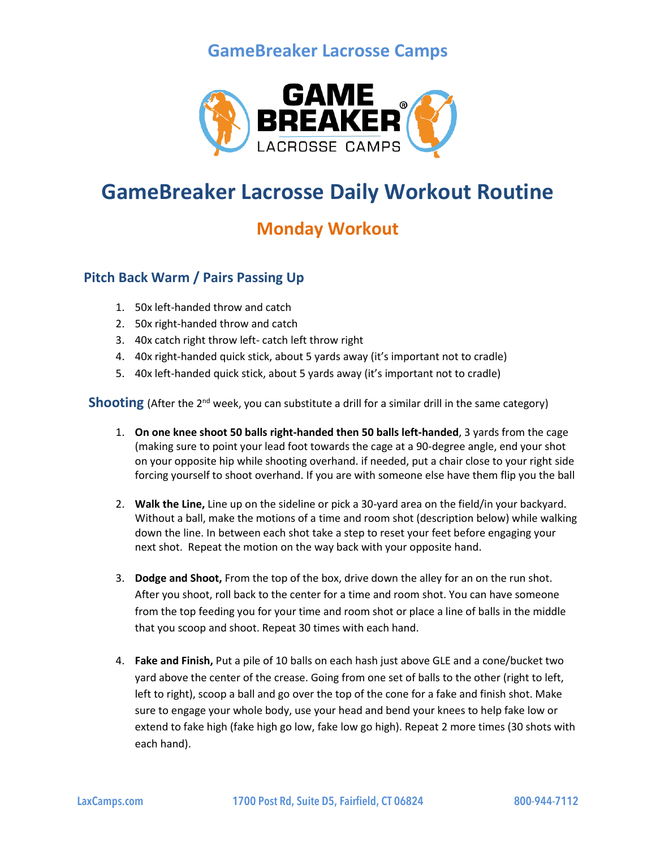## **GameBreaker Lacrosse Camps**



# **GameBreaker Lacrosse Daily Workout Routine**

## **Monday Workout**

#### **Pitch Back Warm / Pairs Passing Up**

- 1. 50x left-handed throw and catch
- 2. 50x right-handed throw and catch
- 3. 40x catch right throw left- catch left throw right
- 4. 40x right-handed quick stick, about 5 yards away (it's important not to cradle)
- 5. 40x left-handed quick stick, about 5 yards away (it's important not to cradle)

**Shooting** (After the 2<sup>nd</sup> week, you can substitute a drill for a similar drill in the same category)

- 1. **On one knee shoot 50 balls right-handed then 50 balls left-handed**, 3 yards from the cage (making sure to point your lead foot towards the cage at a 90-degree angle, end your shot on your opposite hip while shooting overhand. if needed, put a chair close to your right side forcing yourself to shoot overhand. If you are with someone else have them flip you the ball
- 2. **Walk the Line,** Line up on the sideline or pick a 30-yard area on the field/in your backyard. Without a ball, make the motions of a time and room shot (description below) while walking down the line. In between each shot take a step to reset your feet before engaging your next shot. Repeat the motion on the way back with your opposite hand.
- 3. **Dodge and Shoot,** From the top of the box, drive down the alley for an on the run shot. After you shoot, roll back to the center for a time and room shot. You can have someone from the top feeding you for your time and room shot or place a line of balls in the middle that you scoop and shoot. Repeat 30 times with each hand.
- 4. **Fake and Finish,** Put a pile of 10 balls on each hash just above GLE and a cone/bucket two yard above the center of the crease. Going from one set of balls to the other (right to left, left to right), scoop a ball and go over the top of the cone for a fake and finish shot. Make sure to engage your whole body, use your head and bend your knees to help fake low or extend to fake high (fake high go low, fake low go high). Repeat 2 more times (30 shots with each hand).